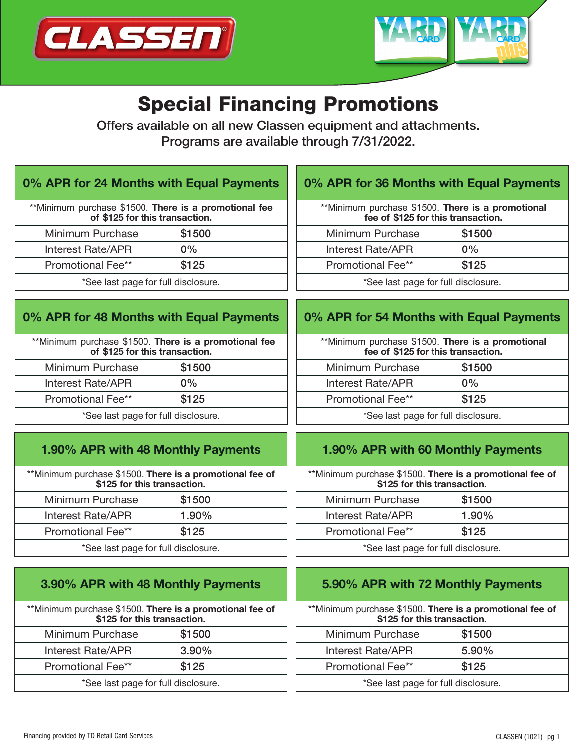



# Special Financing Promotions

Offers available on all new Classen equipment and attachments. Programs are available through 7/31/2022.

## 0% APR for 24 Months with Equal Payments

| **Minimum purchase \$1500. There is a promotional fee<br>of \$125 for this transaction. |        |
|-----------------------------------------------------------------------------------------|--------|
| Minimum Purchase                                                                        | \$1500 |
| <b>Interest Rate/APR</b>                                                                | $0\%$  |
| Promotional Fee**                                                                       | \$125  |
| *See last page for full disclosure.                                                     |        |

# 0% APR for 48 Months with Equal Payments

| **Minimum purchase \$1500. There is a promotional fee<br>of \$125 for this transaction. |        |
|-----------------------------------------------------------------------------------------|--------|
| Minimum Purchase                                                                        | \$1500 |
| Interest Rate/APR                                                                       | $0\%$  |
| <b>Promotional Fee**</b>                                                                | \$125  |
| *See last page for full disclosure.                                                     |        |

# 1.90% APR with 48 Monthly Payments

\*\*Minimum purchase \$1500. There is a promotional fee of \$125 for this transaction.

| Minimum Purchase                    | \$1500   |  |
|-------------------------------------|----------|--|
| Interest Rate/APR                   | $1.90\%$ |  |
| <b>Promotional Fee**</b>            | \$125    |  |
| *See last page for full disclosure. |          |  |

| 3.90% APR with 48 Monthly Payments                                                      |        |
|-----------------------------------------------------------------------------------------|--------|
| **Minimum purchase \$1500. There is a promotional fee of<br>\$125 for this transaction. |        |
| Minimum Purchase                                                                        | \$1500 |
| <b>Interest Rate/APR</b>                                                                | 3.90%  |
| <b>Promotional Fee**</b>                                                                | \$125  |
| *See last page for full disclosure.                                                     |        |

# 0% APR for 36 Months with Equal Payments

| **Minimum purchase \$1500. There is a promotional<br>fee of \$125 for this transaction. |        |
|-----------------------------------------------------------------------------------------|--------|
| Minimum Purchase                                                                        | \$1500 |
| Interest Rate/APR                                                                       | $0\%$  |
| <b>Promotional Fee**</b>                                                                | \$125  |
| *See last page for full disclosure.                                                     |        |

## 0% APR for 54 Months with Equal Payments

| **Minimum purchase \$1500. There is a promotional<br>fee of \$125 for this transaction. |        |
|-----------------------------------------------------------------------------------------|--------|
| Minimum Purchase                                                                        | \$1500 |
| Interest Rate/APR                                                                       | $0\%$  |
| <b>Promotional Fee**</b>                                                                | \$125  |
| *See last page for full disclosure.                                                     |        |

#### 1.90% APR with 60 Monthly Payments

\*\*Minimum purchase \$1500. There is a promotional fee of \$125 for this transaction.

| Minimum Purchase                    | \$1500 |
|-------------------------------------|--------|
| Interest Rate/APR                   | 1.90%  |
| Promotional Fee**                   | \$125  |
| *See last page for full disclosure. |        |

## 5.90% APR with 72 Monthly Payments

| **Minimum purchase \$1500. There is a promotional fee of<br>\$125 for this transaction. |          |
|-----------------------------------------------------------------------------------------|----------|
| Minimum Purchase                                                                        | \$1500   |
| Interest Rate/APR                                                                       | $5.90\%$ |
| <b>Promotional Fee**</b>                                                                | \$125    |
| *See last page for full disclosure.                                                     |          |
|                                                                                         |          |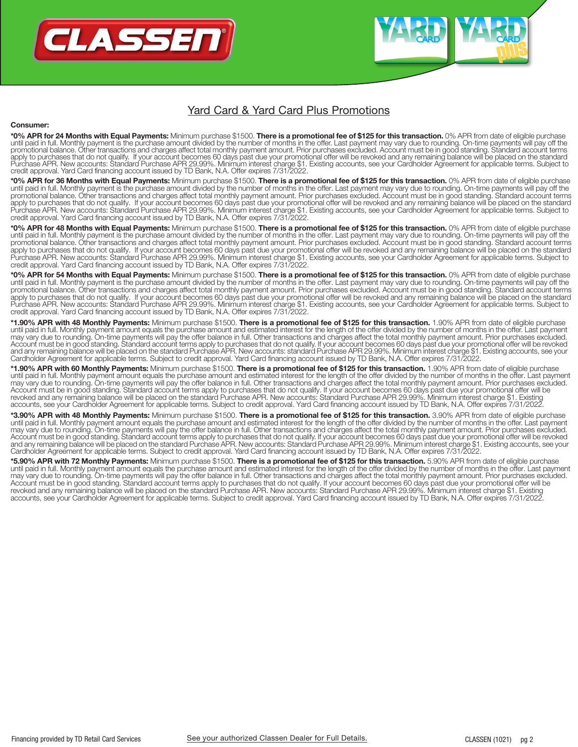

#### Yard Card & Yard Card Plus Promotions

#### Consumer:

\*0% APR for 24 Months with Equal Payments: Minimum purchase \$1500. There is a promotional fee of \$125 for this transaction. 0% APR from date of eligible purchase<br>until paid in full. Monthly payment is the purchase amount d

\*0% APR for 36 Months with Equal Payments: Minimum purchase \$1500. There is a promotional fee of \$125 for this transaction. 0% APR from date of eligible purchase until paid in full. Monthly payment is the purchase amount divided by the number of months in the offer. Last payment may vary due to rounding. On-time payments will pay off the promotional balance. Other transactions and charges affect total monthly payment amount. Prior purchases excluded. Account must be in good standing. Standard account terms apply to purchases that do not qualify. If your account becomes 60 days past due your promotional offer will be revoked and any remaining balance will be placed on the standard<br>Purchase APR. New accounts: Standard Purchase

\*0% APR for 48 Months with Equal Payments: Minimum purchase \$1500. There is a promotional fee of \$125 for this transaction. 0% APR from date of eligible purchase until paid in full. Monthly payment is the purchase amount divided by the number of months in the offer. Last payment may vary due to rounding. On-time payments will pay off the<br>promotional balance. Other transactions and apply to purchases that do not qualify. If your account becomes 60 days past due your promotional offer will be revoked and any remaining balance will be placed on the standard<br>Purchase APR. New accounts: Standard Purchase

\*0% APR for 54 Months with Equal Payments: Minimum purchase \$1500. There is a promotional fee of \$125 for this transaction. 0% APR from date of eligible purchase until paid in full. Monthly payment is the purchase amount divided by the number of months in the offer. Last payment may vary due to rounding. On-time payments will pay off the promotional balance. Other transactions and charges affect total monthly payment amount. Prior purchases excluded. Account must be in good standing. Standard account terms<br>apply to purchases that do not qualify. If your ac credit approval. Yard Card financing account issued by TD Bank, N.A. Offer expires 7/31/2022.

\*1.90% APR with 48 Monthly Payments: Minimum purchase \$1500. There is a promotional fee of \$125 for this transaction. 1.90% APR from date of eligible purchase until paid in full. Monthly payment amount equals the purchase amount and estimated interest for the length of the offer divided by the number of months in the offer. Last payment<br>may vary due to rounding. On-time payments

\*1.90% APR with 60 Monthly Payments: Minimum purchase \$1500. There is a promotional fee of \$125 for this transaction. 1.90% APR from date of eligible purchase until paid in full. Monthly payment amount equals the purchase amount and estimated interest for the length of the offer divided by the number of months in the offer. Last payment may vary due to rounding. On-time payments will pay the offer balance in full. Other transactions and charges affect the total monthly payment amount. Prior purchases excluded. Account must be in good standing. Standard account terms apply to purchases that do not qualify. If your account becomes 60 days past due your promotional offer will be revoked and any remaining balance will be placed on the standard Purchase APR. New accounts: Standard Purchase APR 29.99%. Minimum interest charge \$1. Existing<br>accounts, see your Cardholder Agreement for applicable terms.

**\*3.90% APR with 48 Monthly Payments:** Minimum purchase \$1500. **There is a promotional fee of \$125 for this transaction.** 3.90% APR from date of eligible purchase<br>until paid in full. Monthly payment amount equals the purch may vary due to rounding. On-time payments will pay the offer balance in full. Other transactions and charges affect the total monthly payment amount. Prior purchases excluded. Account must be in good standing. Standard account terms apply to purchases that do not qualify. If your account becomes 60 days past due your promotional offer will be revoked<br>and any remaining balance will be placed on t

**\*5.90% APR with 72 Monthly Payments:** Minimum purchase \$1500. **There is a promotional fee of \$125 for this transaction.** 5.90% APR from date of eligible purchase<br>until paid in full. Monthly payment amount equals the purch Account must be in good standing. Standard account terms apply to purchases that do not qualify. If your account becomes 60 days past due your promotional offer will be<br>revoked and any remaining balance will be placed on t accounts, see your Cardholder Agreement for applicable terms. Subject to credit approval. Yard Card financing account issued by TD Bank, N.A. Offer expires 7/31/2022.